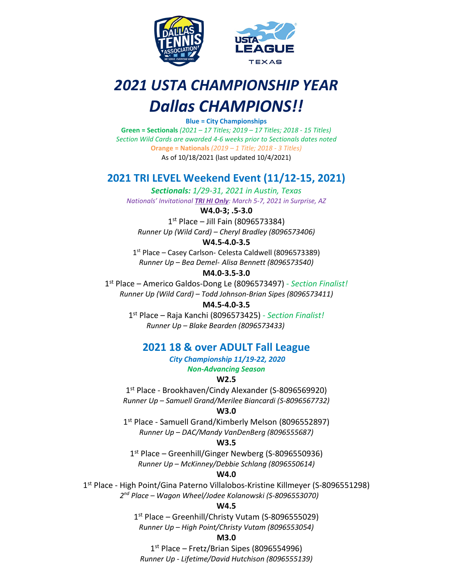

# *2021 USTA CHAMPIONSHIP YEAR Dallas CHAMPIONS!!*

**Blue = City Championships**

**Green = Sectionals** *(2021 – 17 Titles; 2019 – 17 Titles; 2018 - 15 Titles) Section Wild Cards are awarded 4-6 weeks prior to Sectionals dates noted* **Orange = Nationals** *(2019 – 1 Title; 2018 - 3 Titles)* As of 10/18/2021 (last updated 10/4/2021)

# **2021 TRI LEVEL Weekend Event (11/12-15, 2021)**

*Sectionals: 1/29-31, 2021 in Austin, Texas Nationals' Invitational TRI HI Only: March 5-7, 2021 in Surprise, AZ*

**W4.0-3; .5-3.0**

 $1<sup>st</sup>$  Place – Jill Fain (8096573384) *Runner Up (Wild Card) – Cheryl Bradley (8096573406)*

## **W4.5-4.0-3.5**

1<sup>st</sup> Place – Casey Carlson- Celesta Caldwell (8096573389) *Runner Up – Bea Demel- Alisa Bennett (8096573540)*

**M4.0-3.5-3.0**

1st Place – Americo Galdos-Dong Le (8096573497) - *Section Finalist! Runner Up (Wild Card) – Todd Johnson-Brian Sipes (8096573411)*

# **M4.5-4.0-3.5**

1st Place – Raja Kanchi (8096573425) - *Section Finalist! Runner Up – Blake Bearden (8096573433)*

# **2021 18 & over ADULT Fall League**

*City Championship 11/19-22, 2020 Non-Advancing Season*

# **W2.5**

1<sup>st</sup> Place - Brookhaven/Cindy Alexander (S-8096569920) *Runner Up – Samuell Grand/Merilee Biancardi (S-8096567732)*

### **W3.0**

1<sup>st</sup> Place - Samuell Grand/Kimberly Melson (8096552897) *Runner Up – DAC/Mandy VanDenBerg (8096555687)*

# **W3.5**

1st Place – Greenhill/Ginger Newberg (S-8096550936) *Runner Up – McKinney/Debbie Schlang (8096550614)*

# **W4.0**

1<sup>st</sup> Place - High Point/Gina Paterno Villalobos-Kristine Killmeyer (S-8096551298) *2nd Place – Wagon Wheel/Jodee Kolanowski (S-8096553070)*

# **W4.5**

1<sup>st</sup> Place – Greenhill/Christy Vutam (S-8096555029) *Runner Up – High Point/Christy Vutam (8096553054)*

# **M3.0**

 $1<sup>st</sup>$  Place – Fretz/Brian Sipes (8096554996) *Runner Up - Lifetime/David Hutchison (8096555139)*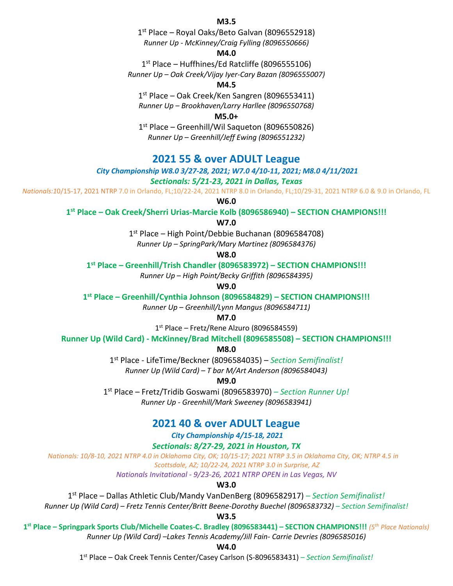# **M3.5**

1<sup>st</sup> Place – Royal Oaks/Beto Galvan (8096552918) *Runner Up - McKinney/Craig Fylling (8096550666)*

### **M4.0**

1<sup>st</sup> Place – Huffhines/Ed Ratcliffe (8096555106) *Runner Up – Oak Creek/Vijay Iyer-Cary Bazan (8096555007)*

### **M4.5**

 $1<sup>st</sup>$  Place – Oak Creek/Ken Sangren (8096553411) *Runner Up – Brookhaven/Larry Harllee (8096550768)*

### **M5.0+**

1<sup>st</sup> Place – Greenhill/Wil Saqueton (8096550826) *Runner Up – Greenhill/Jeff Ewing (8096551232)*

# **2021 55 & over ADULT League**

*City Championship W8.0 3/27-28, 2021; W7.0 4/10-11, 2021; M8.0 4/11/2021*

*Sectionals: 5/21-23, 2021 in Dallas, Texas*

*Nationals:1*0/15-17, 2021 NTRP 7.0 in Orlando, FL;10/22-24, 2021 NTRP 8.0 in Orlando, FL;10/29-31, 2021 NTRP 6.0 & 9.0 in Orlando, FL

**W6.0**

**1st Place – Oak Creek/Sherri Urias-Marcie Kolb (8096586940) – SECTION CHAMPIONS!!!**

**W7.0**

1st Place – High Point/Debbie Buchanan (8096584708)

*Runner Up – SpringPark/Mary Martinez (8096584376)*

#### **W8.0**

**1st Place – Greenhill/Trish Chandler (8096583972) – SECTION CHAMPIONS!!!**

*Runner Up – High Point/Becky Griffith (8096584395)*

**W9.0**

**1st Place – Greenhill/Cynthia Johnson (8096584829) – SECTION CHAMPIONS!!!**

*Runner Up – Greenhill/Lynn Mangus (8096584711)*

**M7.0**

1st Place – Fretz/Rene Alzuro (8096584559)

**Runner Up (Wild Card) - McKinney/Brad Mitchell (8096585508) – SECTION CHAMPIONS!!!**

**M8.0**

1st Place - LifeTime/Beckner (8096584035) – *Section Semifinalist!*

*Runner Up (Wild Card) – T bar M/Art Anderson (8096584043)*

**M9.0**

1st Place – Fretz/Tridib Goswami (8096583970) – *Section Runner Up! Runner Up - Greenhill/Mark Sweeney (8096583941)*

# **2021 40 & over ADULT League**

*City Championship 4/15-18, 2021*

*Sectionals: 8/27-29, 2021 in Houston, TX*

*Nationals: 10/8-10, 2021 NTRP 4.0 in Oklahoma City, OK; 10/15-17; 2021 NTRP 3.5 in Oklahoma City, OK; NTRP 4.5 in Scottsdale, AZ; 10/22-24, 2021 NTRP 3.0 in Surprise, AZ*

*Nationals Invitational - 9/23-26, 2021 NTRP OPEN in Las Vegas, NV*

**W3.0**

1st Place – Dallas Athletic Club/Mandy VanDenBerg (8096582917) *– Section Semifinalist!*

*Runner Up (Wild Card) – Fretz Tennis Center/Britt Beene-Dorothy Buechel (8096583732) – Section Semifinalist!*

**W3.5**

**1st Place – Springpark Sports Club/Michelle Coates-C. Bradley (8096583441) – SECTION CHAMPIONS!!!** *(5th Place Nationals)*

*Runner Up (Wild Card) –Lakes Tennis Academy/Jill Fain- Carrie Devries (8096585016)*

**W4.0**

1st Place – Oak Creek Tennis Center/Casey Carlson (S-8096583431) *– Section Semifinalist!*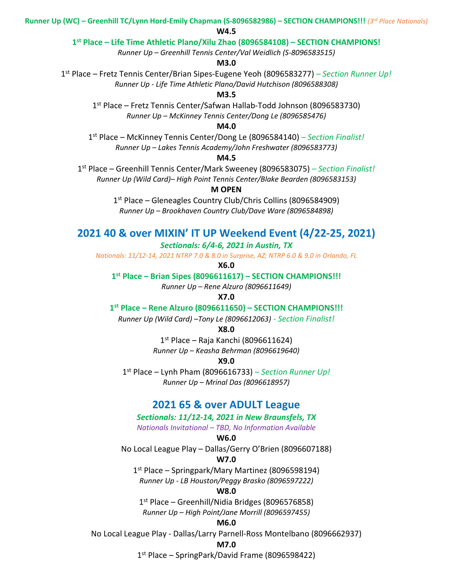**Runner Up (WC) – Greenhill TC/Lynn Hord-Emily Chapman (S-8096582986) – SECTION CHAMPIONS!!!** *(3rd Place Nationals)*

**W4.5**

#### **1st Place – Life Time Athletic Plano/Xilu Zhao (8096584108) – SECTION CHAMPIONS!**

*Runner Up – Greenhill Tennis Center/Val Weidlich (S-8096583515)*

**M3.0**

1st Place – Fretz Tennis Center/Brian Sipes-Eugene Yeoh (8096583277) *– Section Runner Up! Runner Up - Life Time Athletic Plano/David Hutchison (8096588308)*

**M3.5**

1st Place – Fretz Tennis Center/Safwan Hallab-Todd Johnson (8096583730) *Runner Up – McKinney Tennis Center/Dong Le (8096585476)*

#### **M4.0**

1st Place – McKinney Tennis Center/Dong Le (8096584140) *– Section Finalist! Runner Up – Lakes Tennis Academy/John Freshwater (8096583773)*

### **M4.5**

1st Place – Greenhill Tennis Center/Mark Sweeney (8096583075) *– Section Finalist! Runner Up (Wild Card)– High Point Tennis Center/Blake Bearden (8096583153)*

### **M OPEN**

1<sup>st</sup> Place – Gleneagles Country Club/Chris Collins (8096584909) *Runner Up – Brookhaven Country Club/Dave Ware (8096584898)*

# **2021 40 & over MIXIN' IT UP Weekend Event (4/22-25, 2021)**

### *Sectionals: 6/4-6, 2021 in Austin, TX*

*Nationals: 11/12-14, 2021 NTRP 7.0 & 8.0 in Surprise, AZ; NTRP 6.0 & 9.0 in Orlando, FL*

**X6.0**

#### **1st Place – Brian Sipes (8096611617) – SECTION CHAMPIONS!!!**

*Runner Up – Rene Alzuro (8096611649)*

**X7.0**

**1st Place – Rene Alzuro (8096611650) – SECTION CHAMPIONS!!!**

*Runner Up (Wild Card) –Tony Le (8096612063) - Section Finalist!*

**X8.0**

 $1<sup>st</sup>$  Place – Raja Kanchi (8096611624)

*Runner Up – Keasha Behrman (8096619640)*

#### **X9.0**

1st Place – Lynh Pham (8096616733) – *Section Runner Up! Runner Up – Mrinal Das (8096618957)*

## **2021 65 & over ADULT League**

### *Sectionals: 11/12-14, 2021 in New Braunsfels, TX*

*Nationals Invitational – TBD, No Information Available*

#### **W6.0**

No Local League Play – Dallas/Gerry O'Brien (8096607188)

### **W7.0**

1<sup>st</sup> Place – Springpark/Mary Martinez (8096598194)

*Runner Up - LB Houston/Peggy Brasko (8096597222)*

### **W8.0**

1st Place – Greenhill/Nidia Bridges (8096576858) *Runner Up – High Point/Jane Morrill (8096597455)*

#### **M6.0**

No Local League Play - Dallas/Larry Parnell-Ross Montelbano (8096662937)

#### **M7.0**

1<sup>st</sup> Place – SpringPark/David Frame (8096598422)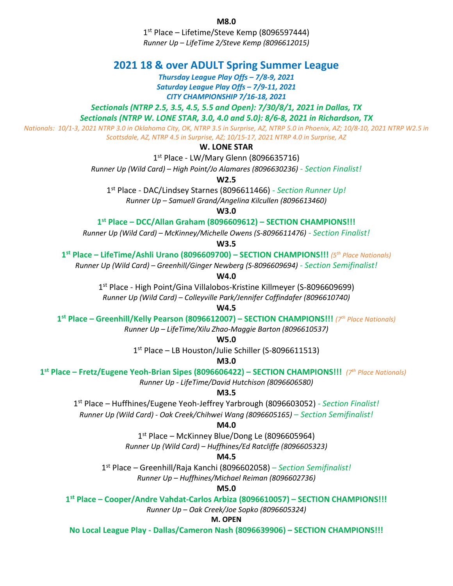**M8.0**

 $1<sup>st</sup>$  Place – Lifetime/Steve Kemp (8096597444) *Runner Up – LifeTime 2/Steve Kemp (8096612015)*

# **2021 18 & over ADULT Spring Summer League**

*Thursday League Play Offs – 7/8-9, 2021 Saturday League Play Offs – 7/9-11, 2021 CITY CHAMPIONSHIP 7/16-18, 2021*

*Sectionals (NTRP 2.5, 3.5, 4.5, 5.5 and Open): 7/30/8/1, 2021 in Dallas, TX*

*Sectionals (NTRP W. LONE STAR, 3.0, 4.0 and 5.0): 8/6-8, 2021 in Richardson, TX* 

*Nationals: 10/1-3, 2021 NTRP 3.0 in Oklahoma City, OK, NTRP 3.5 in Surprise, AZ, NTRP 5.0 in Phoenix, AZ; 10/8-10, 2021 NTRP W2.5 in Scottsdale, AZ, NTRP 4.5 in Surprise, AZ; 10/15-17, 2021 NTRP 4.0 in Surprise, AZ*

### **W. LONE STAR**

1<sup>st</sup> Place - LW/Mary Glenn (8096635716)

*Runner Up (Wild Card) – High Point/Jo Alamares (8096630236) - Section Finalist!*

**W2.5**

1st Place - DAC/Lindsey Starnes (8096611466) *- Section Runner Up!*

*Runner Up – Samuell Grand/Angelina Kilcullen (8096613460)*

**W3.0**

**1st Place – DCC/Allan Graham (8096609612) – SECTION CHAMPIONS!!!**

*Runner Up (Wild Card) – McKinney/Michelle Owens (S-8096611476) - Section Finalist!*

**W3.5**

**1st Place – LifeTime/Ashli Urano (8096609700) – SECTION CHAMPIONS!!!** *(5th Place Nationals)*

*Runner Up (Wild Card) – Greenhill/Ginger Newberg (S-8096609694) - Section Semifinalist!*

**W4.0**

1st Place - High Point/Gina Villalobos-Kristine Killmeyer (S-8096609699) *Runner Up (Wild Card) – Colleyville Park/Jennifer Coffindafer (8096610740)*

**W4.5**

**1st Place – Greenhill/Kelly Pearson (8096612007) – SECTION CHAMPIONS!!!** *(7th Place Nationals)*

*Runner Up – LifeTime/Xilu Zhao-Maggie Barton (8096610537)*

**W5.0**

1<sup>st</sup> Place – LB Houston/Julie Schiller (S-8096611513)

**M3.0**

**1st Place – Fretz/Eugene Yeoh-Brian Sipes (8096606422) – SECTION CHAMPIONS!!!** *(7th Place Nationals) Runner Up - LifeTime/David Hutchison (8096606580)*

**M3.5**

1st Place – Huffhines/Eugene Yeoh-Jeffrey Yarbrough (8096603052) *- Section Finalist! Runner Up (Wild Card) - Oak Creek/Chihwei Wang (8096605165)* – *Section Semifinalist!*

#### **M4.0**

1<sup>st</sup> Place – McKinney Blue/Dong Le (8096605964) *Runner Up (Wild Card) – Huffhines/Ed Ratcliffe (8096605323)*

**M4.5**

1st Place – Greenhill/Raja Kanchi (8096602058) – *Section Semifinalist! Runner Up – Huffhines/Michael Reiman (8096602736)*

**M5.0**

**1st Place – Cooper/Andre Vahdat-Carlos Arbiza (8096610057) – SECTION CHAMPIONS!!!**

*Runner Up – Oak Creek/Joe Sopko (8096605324)*

**M. OPEN**

**No Local League Play - Dallas/Cameron Nash (8096639906) – SECTION CHAMPIONS!!!**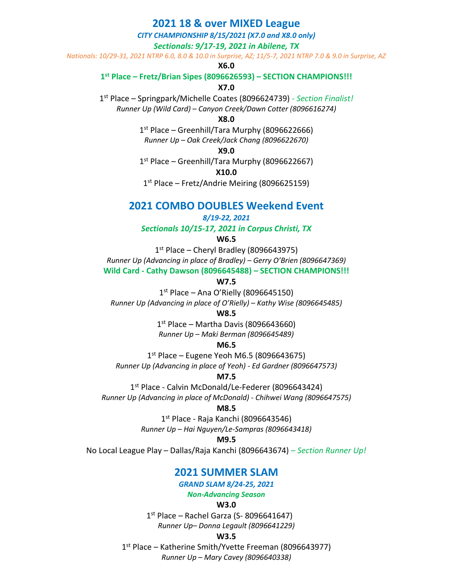# **2021 18 & over MIXED League**

### *CITY CHAMPIONSHIP 8/15/2021 (X7.0 and X8.0 only) Sectionals: 9/17-19, 2021 in Abilene, TX*

*Nationals: 10/29-31, 2021 NTRP 6.0, 8.0 & 10.0 in Surprise, AZ; 11/5-7, 2021 NTRP 7.0 & 9.0 in Surprise, AZ*

#### **X6.0**

#### **1st Place – Fretz/Brian Sipes (8096626593) – SECTION CHAMPIONS!!!**

#### **X7.0**

1st Place – Springpark/Michelle Coates (8096624739) *- Section Finalist! Runner Up (Wild Card) – Canyon Creek/Dawn Cotter (8096616274)*

#### **X8.0**

 $1<sup>st</sup>$  Place – Greenhill/Tara Murphy (8096622666) *Runner Up – Oak Creek/Jack Chang (8096622670)*

#### **X9.0**

 $1<sup>st</sup>$  Place – Greenhill/Tara Murphy (8096622667)

**X10.0**

 $1<sup>st</sup>$  Place – Fretz/Andrie Meiring (8096625159)

# **2021 COMBO DOUBLES Weekend Event**

#### *8/19-22, 2021*

*Sectionals 10/15-17, 2021 in Corpus Christi, TX*

#### **W6.5**

 $1<sup>st</sup>$  Place – Cheryl Bradley (8096643975) *Runner Up (Advancing in place of Bradley) – Gerry O'Brien (8096647369)* **Wild Card - Cathy Dawson (8096645488) – SECTION CHAMPIONS!!!**

**W7.5**

 $1<sup>st</sup>$  Place – Ana O'Rielly (8096645150)

*Runner Up (Advancing in place of O'Rielly) – Kathy Wise (8096645485)*

**W8.5**

 $1<sup>st</sup>$  Place – Martha Davis (8096643660) *Runner Up – Maki Berman (8096645489)*

#### **M6.5**

 $1<sup>st</sup>$  Place – Eugene Yeoh M6.5 (8096643675) *Runner Up (Advancing in place of Yeoh) - Ed Gardner (8096647573)*

#### **M7.5**

1<sup>st</sup> Place - Calvin McDonald/Le-Federer (8096643424) *Runner Up (Advancing in place of McDonald) - Chihwei Wang (8096647575)*

#### **M8.5**

 $1<sup>st</sup>$  Place - Raja Kanchi (8096643546) *Runner Up – Hai Nguyen/Le-Sampras (8096643418)*

### **M9.5**

No Local League Play – Dallas/Raja Kanchi (8096643674) *– Section Runner Up!*

# **2021 SUMMER SLAM**

*GRAND SLAM 8/24-25, 2021*

*Non-Advancing Season*

### **W3.0**

 $1<sup>st</sup>$  Place – Rachel Garza (S-8096641647) *Runner Up– Donna Legault (8096641229)*

#### **W3.5**

1st Place – Katherine Smith/Yvette Freeman (8096643977) *Runner Up – Mary Cavey (8096640338)*